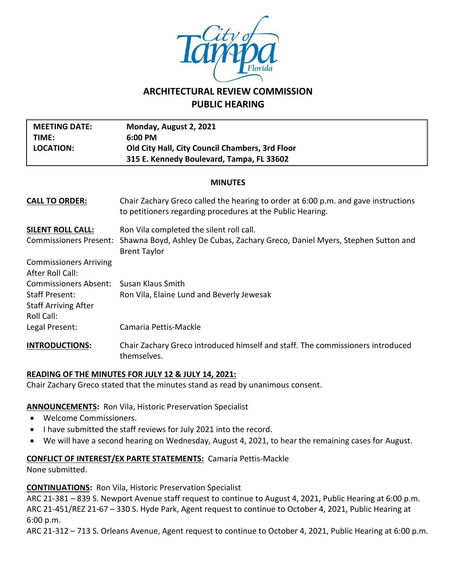

# **ARCHITECTURAL REVIEW COMMISSION PUBLIC HEARING**

| <b>MEETING DATE:</b><br>TIME:<br><b>LOCATION:</b>                                                                                                              | Monday, August 2, 2021<br>6:00 PM<br>Old City Hall, City Council Chambers, 3rd Floor<br>315 E. Kennedy Boulevard, Tampa, FL 33602                |  |  |  |
|----------------------------------------------------------------------------------------------------------------------------------------------------------------|--------------------------------------------------------------------------------------------------------------------------------------------------|--|--|--|
| <b>MINUTES</b>                                                                                                                                                 |                                                                                                                                                  |  |  |  |
| <b>CALL TO ORDER:</b>                                                                                                                                          | Chair Zachary Greco called the hearing to order at 6:00 p.m. and gave instructions<br>to petitioners regarding procedures at the Public Hearing. |  |  |  |
| <b>SILENT ROLL CALL:</b><br><b>Commissioners Present:</b>                                                                                                      | Ron Vila completed the silent roll call.<br>Shawna Boyd, Ashley De Cubas, Zachary Greco, Daniel Myers, Stephen Sutton and<br><b>Brent Taylor</b> |  |  |  |
| <b>Commissioners Arriving</b><br><b>After Roll Call:</b><br><b>Commissioners Absent:</b><br><b>Staff Present:</b><br><b>Staff Arriving After</b><br>Roll Call: | Susan Klaus Smith<br>Ron Vila, Elaine Lund and Beverly Jewesak                                                                                   |  |  |  |
| Legal Present:                                                                                                                                                 | Camaria Pettis-Mackle                                                                                                                            |  |  |  |
| <b>INTRODUCTIONS:</b>                                                                                                                                          | Chair Zachary Greco introduced himself and staff. The commissioners introduced<br>themselves.                                                    |  |  |  |

## **READING OF THE MINUTES FOR JULY 12 & JULY 14, 2021:**

Chair Zachary Greco stated that the minutes stand as read by unanimous consent.

## **ANNOUNCEMENTS:** Ron Vila, Historic Preservation Specialist

- Welcome Commissioners.
- I have submitted the staff reviews for July 2021 into the record.
- We will have a second hearing on Wednesday, August 4, 2021, to hear the remaining cases for August.

## **CONFLICT OF INTEREST/EX PARTE STATEMENTS:** Camaria Pettis-Mackle

None submitted.

## **CONTINUATIONS:** Ron Vila, Historic Preservation Specialist

ARC 21-381 – 839 S. Newport Avenue staff request to continue to August 4, 2021, Public Hearing at 6:00 p.m. ARC 21-451/REZ 21-67 – 330 S. Hyde Park, Agent request to continue to October 4, 2021, Public Hearing at 6:00 p.m.

ARC 21-312 – 713 S. Orleans Avenue, Agent request to continue to October 4, 2021, Public Hearing at 6:00 p.m.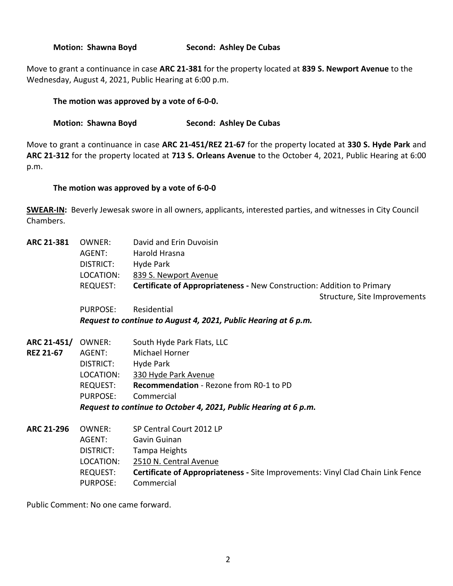**Motion: Shawna Boyd Second: Ashley De Cubas**

Move to grant a continuance in case **ARC 21-381** for the property located at **839 S. Newport Avenue** to the Wednesday, August 4, 2021, Public Hearing at 6:00 p.m.

# **The motion was approved by a vote of 6-0-0.**

## **Motion: Shawna Boyd Second: Ashley De Cubas**

Move to grant a continuance in case **ARC 21-451/REZ 21-67** for the property located at **330 S. Hyde Park** and **ARC 21-312** for the property located at **713 S. Orleans Avenue** to the October 4, 2021, Public Hearing at 6:00 p.m.

# **The motion was approved by a vote of 6-0-0**

**SWEAR-IN:** Beverly Jewesak swore in all owners, applicants, interested parties, and witnesses in City Council Chambers.

| ARC 21-381        | OWNER:                                                           | David and Erin Duvoisin                                                         |  |  |
|-------------------|------------------------------------------------------------------|---------------------------------------------------------------------------------|--|--|
|                   | AGENT:                                                           | Harold Hrasna                                                                   |  |  |
|                   | DISTRICT:                                                        | Hyde Park                                                                       |  |  |
|                   | LOCATION:                                                        | 839 S. Newport Avenue                                                           |  |  |
|                   | <b>REQUEST:</b>                                                  | <b>Certificate of Appropriateness - New Construction: Addition to Primary</b>   |  |  |
|                   |                                                                  | Structure, Site Improvements                                                    |  |  |
|                   | <b>PURPOSE:</b>                                                  | Residential                                                                     |  |  |
|                   | Request to continue to August 4, 2021, Public Hearing at 6 p.m.  |                                                                                 |  |  |
| ARC 21-451/       | OWNER:                                                           | South Hyde Park Flats, LLC                                                      |  |  |
| <b>REZ 21-67</b>  | AGENT:                                                           | <b>Michael Horner</b>                                                           |  |  |
|                   | DISTRICT:                                                        | Hyde Park                                                                       |  |  |
|                   | LOCATION:                                                        | 330 Hyde Park Avenue                                                            |  |  |
|                   | REQUEST:                                                         | <b>Recommendation</b> - Rezone from R0-1 to PD                                  |  |  |
|                   | PURPOSE:                                                         | Commercial                                                                      |  |  |
|                   | Request to continue to October 4, 2021, Public Hearing at 6 p.m. |                                                                                 |  |  |
| <b>ARC 21-296</b> | OWNER:                                                           | SP Central Court 2012 LP                                                        |  |  |
|                   | AGENT:                                                           | Gavin Guinan                                                                    |  |  |
|                   | DISTRICT:                                                        | Tampa Heights                                                                   |  |  |
|                   | LOCATION:                                                        | 2510 N. Central Avenue                                                          |  |  |
|                   | <b>REQUEST:</b>                                                  | Certificate of Appropriateness - Site Improvements: Vinyl Clad Chain Link Fence |  |  |
|                   | <b>PURPOSE:</b>                                                  | Commercial                                                                      |  |  |

Public Comment: No one came forward.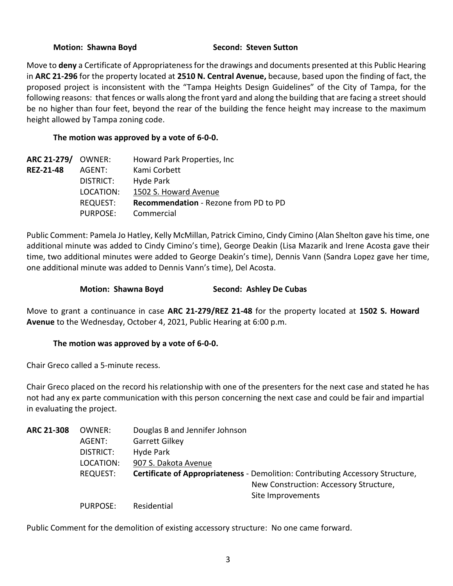#### **Motion: Shawna Boyd Second: Steven Sutton**

Move to **deny** a Certificate of Appropriateness for the drawings and documents presented at this Public Hearing in **ARC 21-296** for the property located at **2510 N. Central Avenue,** because, based upon the finding of fact, the proposed project is inconsistent with the "Tampa Heights Design Guidelines" of the City of Tampa, for the following reasons: that fences or walls along the front yard and along the building that are facing a street should be no higher than four feet, beyond the rear of the building the fence height may increase to the maximum height allowed by Tampa zoning code.

# **The motion was approved by a vote of 6-0-0.**

| ARC 21-279/ OWNER: |                 | Howard Park Properties, Inc.          |
|--------------------|-----------------|---------------------------------------|
| <b>REZ-21-48</b>   | AGENT:          | Kami Corbett                          |
|                    | DISTRICT:       | Hyde Park                             |
|                    | LOCATION:       | 1502 S. Howard Avenue                 |
|                    | <b>REQUEST:</b> | Recommendation - Rezone from PD to PD |
|                    | PURPOSE:        | Commercial                            |

Public Comment: Pamela Jo Hatley, Kelly McMillan, Patrick Cimino, Cindy Cimino (Alan Shelton gave his time, one additional minute was added to Cindy Cimino's time), George Deakin (Lisa Mazarik and Irene Acosta gave their time, two additional minutes were added to George Deakin's time), Dennis Vann (Sandra Lopez gave her time, one additional minute was added to Dennis Vann's time), Del Acosta.

# **Motion: Shawna Boyd Second: Ashley De Cubas**

Move to grant a continuance in case **ARC 21-279/REZ 21-48** for the property located at **1502 S. Howard Avenue** to the Wednesday, October 4, 2021, Public Hearing at 6:00 p.m.

## **The motion was approved by a vote of 6-0-0.**

Chair Greco called a 5-minute recess.

Chair Greco placed on the record his relationship with one of the presenters for the next case and stated he has not had any ex parte communication with this person concerning the next case and could be fair and impartial in evaluating the project.

| <b>ARC 21-308</b> | OWNER:          | Douglas B and Jennifer Johnson                                                        |  |
|-------------------|-----------------|---------------------------------------------------------------------------------------|--|
|                   | AGENT:          | Garrett Gilkey                                                                        |  |
|                   | DISTRICT:       | Hyde Park                                                                             |  |
|                   | LOCATION:       | 907 S. Dakota Avenue                                                                  |  |
|                   | <b>REQUEST:</b> | <b>Certificate of Appropriateness - Demolition: Contributing Accessory Structure,</b> |  |
|                   |                 | New Construction: Accessory Structure,                                                |  |
|                   |                 | Site Improvements                                                                     |  |
|                   | <b>PURPOSE:</b> | Residential                                                                           |  |

Public Comment for the demolition of existing accessory structure: No one came forward.